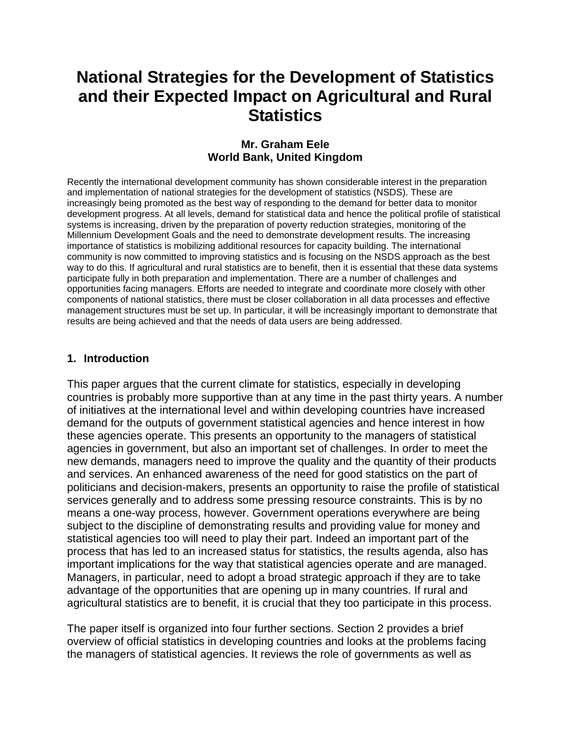# **National Strategies for the Development of Statistics and their Expected Impact on Agricultural and Rural Statistics**

#### **Mr. Graham Eele World Bank, United Kingdom**

Recently the international development community has shown considerable interest in the preparation and implementation of national strategies for the development of statistics (NSDS). These are increasingly being promoted as the best way of responding to the demand for better data to monitor development progress. At all levels, demand for statistical data and hence the political profile of statistical systems is increasing, driven by the preparation of poverty reduction strategies, monitoring of the Millennium Development Goals and the need to demonstrate development results. The increasing importance of statistics is mobilizing additional resources for capacity building. The international community is now committed to improving statistics and is focusing on the NSDS approach as the best way to do this. If agricultural and rural statistics are to benefit, then it is essential that these data systems participate fully in both preparation and implementation. There are a number of challenges and opportunities facing managers. Efforts are needed to integrate and coordinate more closely with other components of national statistics, there must be closer collaboration in all data processes and effective management structures must be set up. In particular, it will be increasingly important to demonstrate that results are being achieved and that the needs of data users are being addressed.

#### **1. Introduction**

This paper argues that the current climate for statistics, especially in developing countries is probably more supportive than at any time in the past thirty years. A number of initiatives at the international level and within developing countries have increased demand for the outputs of government statistical agencies and hence interest in how these agencies operate. This presents an opportunity to the managers of statistical agencies in government, but also an important set of challenges. In order to meet the new demands, managers need to improve the quality and the quantity of their products and services. An enhanced awareness of the need for good statistics on the part of politicians and decision-makers, presents an opportunity to raise the profile of statistical services generally and to address some pressing resource constraints. This is by no means a one-way process, however. Government operations everywhere are being subject to the discipline of demonstrating results and providing value for money and statistical agencies too will need to play their part. Indeed an important part of the process that has led to an increased status for statistics, the results agenda, also has important implications for the way that statistical agencies operate and are managed. Managers, in particular, need to adopt a broad strategic approach if they are to take advantage of the opportunities that are opening up in many countries. If rural and agricultural statistics are to benefit, it is crucial that they too participate in this process.

The paper itself is organized into four further sections. Section 2 provides a brief overview of official statistics in developing countries and looks at the problems facing the managers of statistical agencies. It reviews the role of governments as well as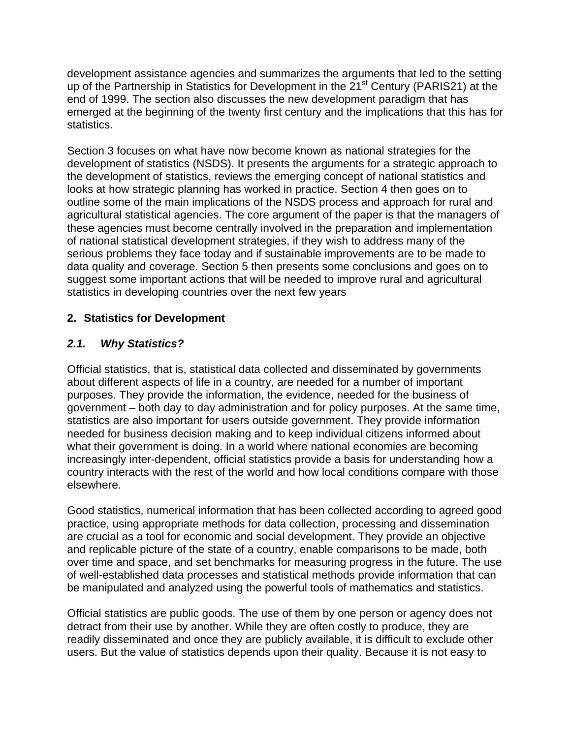development assistance agencies and summarizes the arguments that led to the setting up of the Partnership in Statistics for Development in the 21<sup>st</sup> Century (PARIS21) at the end of 1999. The section also discusses the new development paradigm that has emerged at the beginning of the twenty first century and the implications that this has for statistics.

Section 3 focuses on what have now become known as national strategies for the development of statistics (NSDS). It presents the arguments for a strategic approach to the development of statistics, reviews the emerging concept of national statistics and looks at how strategic planning has worked in practice. Section 4 then goes on to outline some of the main implications of the NSDS process and approach for rural and agricultural statistical agencies. The core argument of the paper is that the managers of these agencies must become centrally involved in the preparation and implementation of national statistical development strategies, if they wish to address many of the serious problems they face today and if sustainable improvements are to be made to data quality and coverage. Section 5 then presents some conclusions and goes on to suggest some important actions that will be needed to improve rural and agricultural statistics in developing countries over the next few years

## **2. Statistics for Development**

## *2.1. Why Statistics?*

Official statistics, that is, statistical data collected and disseminated by governments about different aspects of life in a country, are needed for a number of important purposes. They provide the information, the evidence, needed for the business of government – both day to day administration and for policy purposes. At the same time, statistics are also important for users outside government. They provide information needed for business decision making and to keep individual citizens informed about what their government is doing. In a world where national economies are becoming increasingly inter-dependent, official statistics provide a basis for understanding how a country interacts with the rest of the world and how local conditions compare with those elsewhere.

Good statistics, numerical information that has been collected according to agreed good practice, using appropriate methods for data collection, processing and dissemination are crucial as a tool for economic and social development. They provide an objective and replicable picture of the state of a country, enable comparisons to be made, both over time and space, and set benchmarks for measuring progress in the future. The use of well-established data processes and statistical methods provide information that can be manipulated and analyzed using the powerful tools of mathematics and statistics.

Official statistics are public goods. The use of them by one person or agency does not detract from their use by another. While they are often costly to produce, they are readily disseminated and once they are publicly available, it is difficult to exclude other users. But the value of statistics depends upon their quality. Because it is not easy to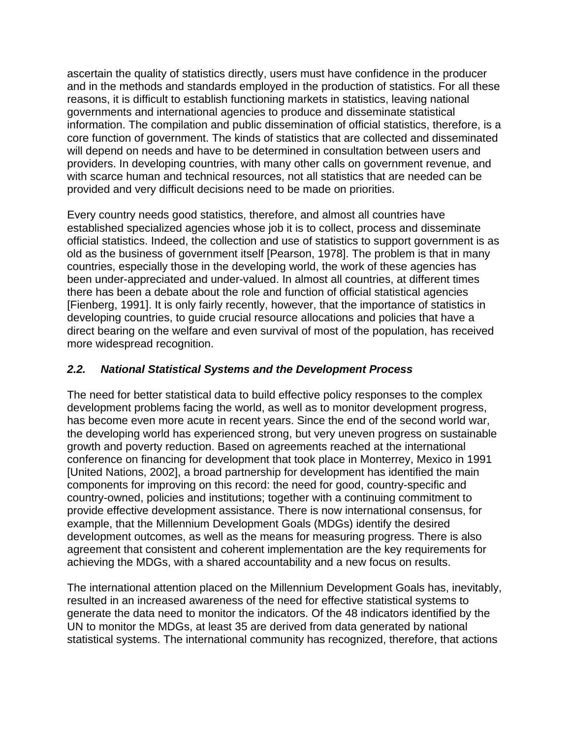ascertain the quality of statistics directly, users must have confidence in the producer and in the methods and standards employed in the production of statistics. For all these reasons, it is difficult to establish functioning markets in statistics, leaving national governments and international agencies to produce and disseminate statistical information. The compilation and public dissemination of official statistics, therefore, is a core function of government. The kinds of statistics that are collected and disseminated will depend on needs and have to be determined in consultation between users and providers. In developing countries, with many other calls on government revenue, and with scarce human and technical resources, not all statistics that are needed can be provided and very difficult decisions need to be made on priorities.

Every country needs good statistics, therefore, and almost all countries have established specialized agencies whose job it is to collect, process and disseminate official statistics. Indeed, the collection and use of statistics to support government is as old as the business of government itself [Pearson, 1978]. The problem is that in many countries, especially those in the developing world, the work of these agencies has been under-appreciated and under-valued. In almost all countries, at different times there has been a debate about the role and function of official statistical agencies [Fienberg, 1991]. It is only fairly recently, however, that the importance of statistics in developing countries, to guide crucial resource allocations and policies that have a direct bearing on the welfare and even survival of most of the population, has received more widespread recognition.

## *2.2. National Statistical Systems and the Development Process*

The need for better statistical data to build effective policy responses to the complex development problems facing the world, as well as to monitor development progress, has become even more acute in recent years. Since the end of the second world war, the developing world has experienced strong, but very uneven progress on sustainable growth and poverty reduction. Based on agreements reached at the international conference on financing for development that took place in Monterrey, Mexico in 1991 [United Nations, 2002], a broad partnership for development has identified the main components for improving on this record: the need for good, country-specific and country-owned, policies and institutions; together with a continuing commitment to provide effective development assistance. There is now international consensus, for example, that the Millennium Development Goals (MDGs) identify the desired development outcomes, as well as the means for measuring progress. There is also agreement that consistent and coherent implementation are the key requirements for achieving the MDGs, with a shared accountability and a new focus on results.

The international attention placed on the Millennium Development Goals has, inevitably, resulted in an increased awareness of the need for effective statistical systems to generate the data need to monitor the indicators. Of the 48 indicators identified by the UN to monitor the MDGs, at least 35 are derived from data generated by national statistical systems. The international community has recognized, therefore, that actions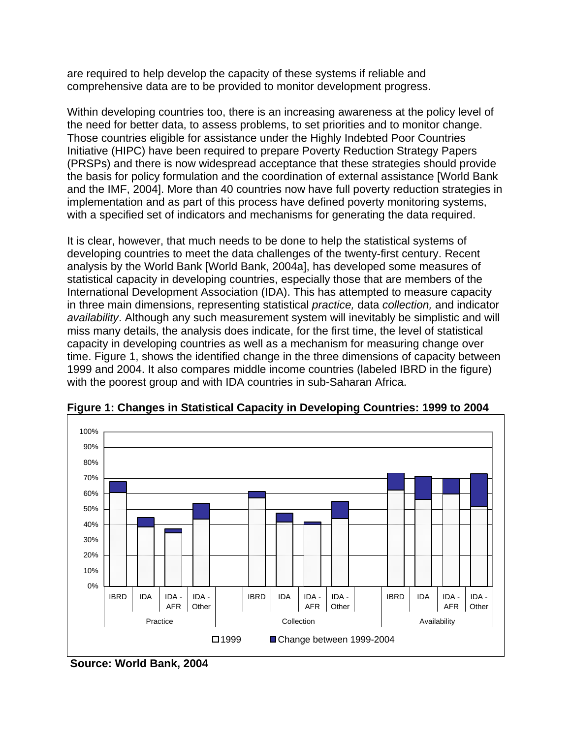are required to help develop the capacity of these systems if reliable and comprehensive data are to be provided to monitor development progress.

Within developing countries too, there is an increasing awareness at the policy level of the need for better data, to assess problems, to set priorities and to monitor change. Those countries eligible for assistance under the Highly Indebted Poor Countries Initiative (HIPC) have been required to prepare Poverty Reduction Strategy Papers (PRSPs) and there is now widespread acceptance that these strategies should provide the basis for policy formulation and the coordination of external assistance [World Bank and the IMF, 2004]. More than 40 countries now have full poverty reduction strategies in implementation and as part of this process have defined poverty monitoring systems, with a specified set of indicators and mechanisms for generating the data required.

It is clear, however, that much needs to be done to help the statistical systems of developing countries to meet the data challenges of the twenty-first century. Recent analysis by the World Bank [World Bank, 2004a], has developed some measures of statistical capacity in developing countries, especially those that are members of the International Development Association (IDA). This has attempted to measure capacity in three main dimensions, representing statistical *practice,* data *collection,* and indicator *availability*. Although any such measurement system will inevitably be simplistic and will miss many details, the analysis does indicate, for the first time, the level of statistical capacity in developing countries as well as a mechanism for measuring change over time. Figure 1, shows the identified change in the three dimensions of capacity between 1999 and 2004. It also compares middle income countries (labeled IBRD in the figure) with the poorest group and with IDA countries in sub-Saharan Africa.



**Figure 1: Changes in Statistical Capacity in Developing Countries: 1999 to 2004** 

**Source: World Bank, 2004**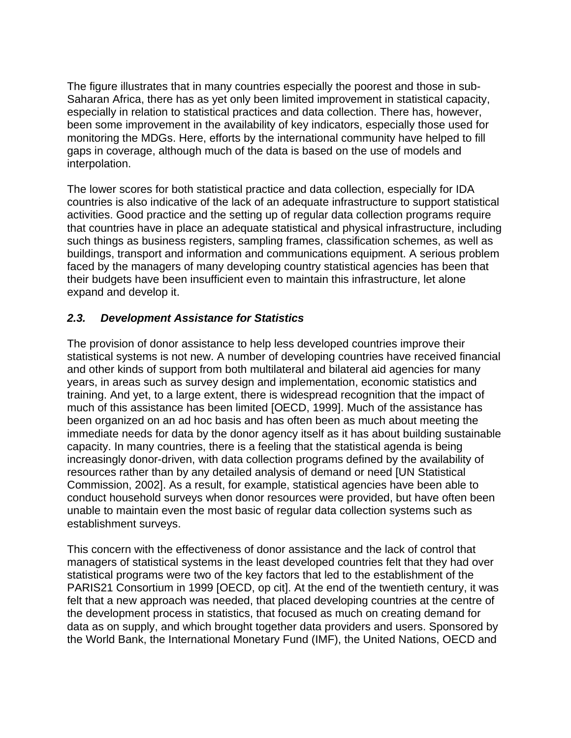The figure illustrates that in many countries especially the poorest and those in sub-Saharan Africa, there has as yet only been limited improvement in statistical capacity, especially in relation to statistical practices and data collection. There has, however, been some improvement in the availability of key indicators, especially those used for monitoring the MDGs. Here, efforts by the international community have helped to fill gaps in coverage, although much of the data is based on the use of models and interpolation.

The lower scores for both statistical practice and data collection, especially for IDA countries is also indicative of the lack of an adequate infrastructure to support statistical activities. Good practice and the setting up of regular data collection programs require that countries have in place an adequate statistical and physical infrastructure, including such things as business registers, sampling frames, classification schemes, as well as buildings, transport and information and communications equipment. A serious problem faced by the managers of many developing country statistical agencies has been that their budgets have been insufficient even to maintain this infrastructure, let alone expand and develop it.

## *2.3. Development Assistance for Statistics*

The provision of donor assistance to help less developed countries improve their statistical systems is not new. A number of developing countries have received financial and other kinds of support from both multilateral and bilateral aid agencies for many years, in areas such as survey design and implementation, economic statistics and training. And yet, to a large extent, there is widespread recognition that the impact of much of this assistance has been limited [OECD, 1999]. Much of the assistance has been organized on an ad hoc basis and has often been as much about meeting the immediate needs for data by the donor agency itself as it has about building sustainable capacity. In many countries, there is a feeling that the statistical agenda is being increasingly donor-driven, with data collection programs defined by the availability of resources rather than by any detailed analysis of demand or need [UN Statistical Commission, 2002]. As a result, for example, statistical agencies have been able to conduct household surveys when donor resources were provided, but have often been unable to maintain even the most basic of regular data collection systems such as establishment surveys.

This concern with the effectiveness of donor assistance and the lack of control that managers of statistical systems in the least developed countries felt that they had over statistical programs were two of the key factors that led to the establishment of the PARIS21 Consortium in 1999 [OECD, op cit]. At the end of the twentieth century, it was felt that a new approach was needed, that placed developing countries at the centre of the development process in statistics, that focused as much on creating demand for data as on supply, and which brought together data providers and users. Sponsored by the World Bank, the International Monetary Fund (IMF), the United Nations, OECD and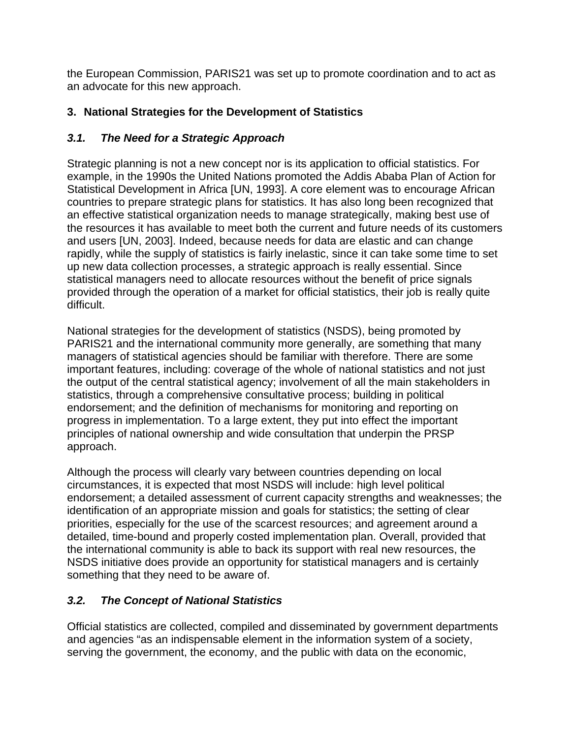the European Commission, PARIS21 was set up to promote coordination and to act as an advocate for this new approach.

## **3. National Strategies for the Development of Statistics**

## *3.1. The Need for a Strategic Approach*

Strategic planning is not a new concept nor is its application to official statistics. For example, in the 1990s the United Nations promoted the Addis Ababa Plan of Action for Statistical Development in Africa [UN, 1993]. A core element was to encourage African countries to prepare strategic plans for statistics. It has also long been recognized that an effective statistical organization needs to manage strategically, making best use of the resources it has available to meet both the current and future needs of its customers and users [UN, 2003]. Indeed, because needs for data are elastic and can change rapidly, while the supply of statistics is fairly inelastic, since it can take some time to set up new data collection processes, a strategic approach is really essential. Since statistical managers need to allocate resources without the benefit of price signals provided through the operation of a market for official statistics, their job is really quite difficult.

National strategies for the development of statistics (NSDS), being promoted by PARIS21 and the international community more generally, are something that many managers of statistical agencies should be familiar with therefore. There are some important features, including: coverage of the whole of national statistics and not just the output of the central statistical agency; involvement of all the main stakeholders in statistics, through a comprehensive consultative process; building in political endorsement; and the definition of mechanisms for monitoring and reporting on progress in implementation. To a large extent, they put into effect the important principles of national ownership and wide consultation that underpin the PRSP approach.

Although the process will clearly vary between countries depending on local circumstances, it is expected that most NSDS will include: high level political endorsement; a detailed assessment of current capacity strengths and weaknesses; the identification of an appropriate mission and goals for statistics; the setting of clear priorities, especially for the use of the scarcest resources; and agreement around a detailed, time-bound and properly costed implementation plan. Overall, provided that the international community is able to back its support with real new resources, the NSDS initiative does provide an opportunity for statistical managers and is certainly something that they need to be aware of.

## *3.2. The Concept of National Statistics*

Official statistics are collected, compiled and disseminated by government departments and agencies "as an indispensable element in the information system of a society, serving the government, the economy, and the public with data on the economic,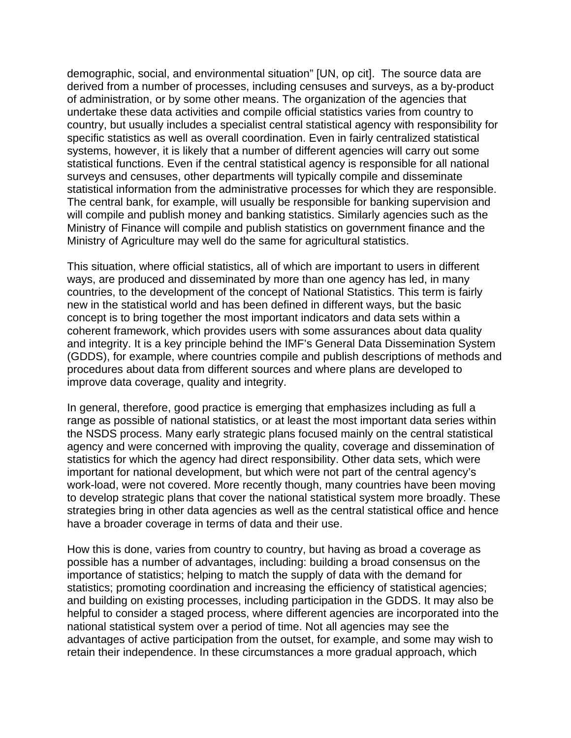demographic, social, and environmental situation" [UN, op cit]. The source data are derived from a number of processes, including censuses and surveys, as a by-product of administration, or by some other means. The organization of the agencies that undertake these data activities and compile official statistics varies from country to country, but usually includes a specialist central statistical agency with responsibility for specific statistics as well as overall coordination. Even in fairly centralized statistical systems, however, it is likely that a number of different agencies will carry out some statistical functions. Even if the central statistical agency is responsible for all national surveys and censuses, other departments will typically compile and disseminate statistical information from the administrative processes for which they are responsible. The central bank, for example, will usually be responsible for banking supervision and will compile and publish money and banking statistics. Similarly agencies such as the Ministry of Finance will compile and publish statistics on government finance and the Ministry of Agriculture may well do the same for agricultural statistics.

This situation, where official statistics, all of which are important to users in different ways, are produced and disseminated by more than one agency has led, in many countries, to the development of the concept of National Statistics. This term is fairly new in the statistical world and has been defined in different ways, but the basic concept is to bring together the most important indicators and data sets within a coherent framework, which provides users with some assurances about data quality and integrity. It is a key principle behind the IMF's General Data Dissemination System (GDDS), for example, where countries compile and publish descriptions of methods and procedures about data from different sources and where plans are developed to improve data coverage, quality and integrity.

In general, therefore, good practice is emerging that emphasizes including as full a range as possible of national statistics, or at least the most important data series within the NSDS process. Many early strategic plans focused mainly on the central statistical agency and were concerned with improving the quality, coverage and dissemination of statistics for which the agency had direct responsibility. Other data sets, which were important for national development, but which were not part of the central agency's work-load, were not covered. More recently though, many countries have been moving to develop strategic plans that cover the national statistical system more broadly. These strategies bring in other data agencies as well as the central statistical office and hence have a broader coverage in terms of data and their use.

How this is done, varies from country to country, but having as broad a coverage as possible has a number of advantages, including: building a broad consensus on the importance of statistics; helping to match the supply of data with the demand for statistics; promoting coordination and increasing the efficiency of statistical agencies; and building on existing processes, including participation in the GDDS. It may also be helpful to consider a staged process, where different agencies are incorporated into the national statistical system over a period of time. Not all agencies may see the advantages of active participation from the outset, for example, and some may wish to retain their independence. In these circumstances a more gradual approach, which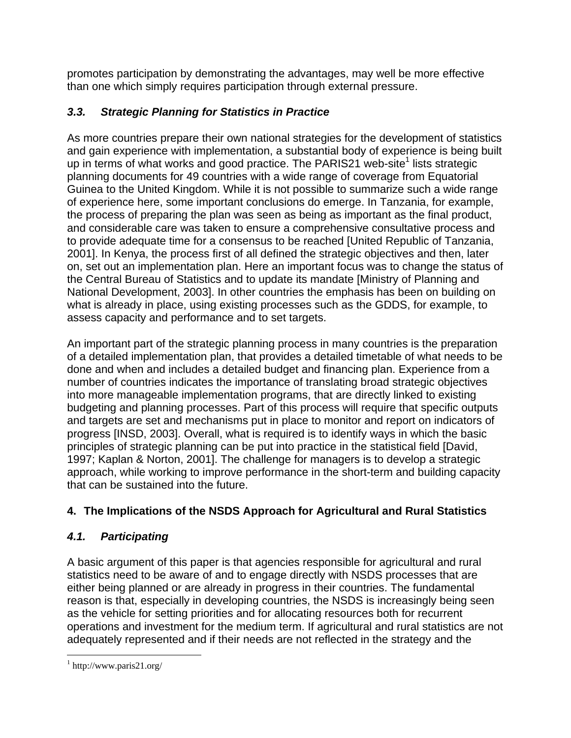promotes participation by demonstrating the advantages, may well be more effective than one which simply requires participation through external pressure.

# *3.3. Strategic Planning for Statistics in Practice*

As more countries prepare their own national strategies for the development of statistics and gain experience with implementation, a substantial body of experience is being built up in terms of what works and good practice. The PARIS21 web-site<sup>1</sup> lists strategic planning documents for 49 countries with a wide range of coverage from Equatorial Guinea to the United Kingdom. While it is not possible to summarize such a wide range of experience here, some important conclusions do emerge. In Tanzania, for example, the process of preparing the plan was seen as being as important as the final product, and considerable care was taken to ensure a comprehensive consultative process and to provide adequate time for a consensus to be reached [United Republic of Tanzania, 2001]. In Kenya, the process first of all defined the strategic objectives and then, later on, set out an implementation plan. Here an important focus was to change the status of the Central Bureau of Statistics and to update its mandate [Ministry of Planning and National Development, 2003]. In other countries the emphasis has been on building on what is already in place, using existing processes such as the GDDS, for example, to assess capacity and performance and to set targets.

An important part of the strategic planning process in many countries is the preparation of a detailed implementation plan, that provides a detailed timetable of what needs to be done and when and includes a detailed budget and financing plan. Experience from a number of countries indicates the importance of translating broad strategic objectives into more manageable implementation programs, that are directly linked to existing budgeting and planning processes. Part of this process will require that specific outputs and targets are set and mechanisms put in place to monitor and report on indicators of progress [INSD, 2003]. Overall, what is required is to identify ways in which the basic principles of strategic planning can be put into practice in the statistical field [David, 1997; Kaplan & Norton, 2001]. The challenge for managers is to develop a strategic approach, while working to improve performance in the short-term and building capacity that can be sustained into the future.

# **4. The Implications of the NSDS Approach for Agricultural and Rural Statistics**

# *4.1. Participating*

A basic argument of this paper is that agencies responsible for agricultural and rural statistics need to be aware of and to engage directly with NSDS processes that are either being planned or are already in progress in their countries. The fundamental reason is that, especially in developing countries, the NSDS is increasingly being seen as the vehicle for setting priorities and for allocating resources both for recurrent operations and investment for the medium term. If agricultural and rural statistics are not adequately represented and if their needs are not reflected in the strategy and the

 $\overline{a}$ 1 http://www.paris21.org/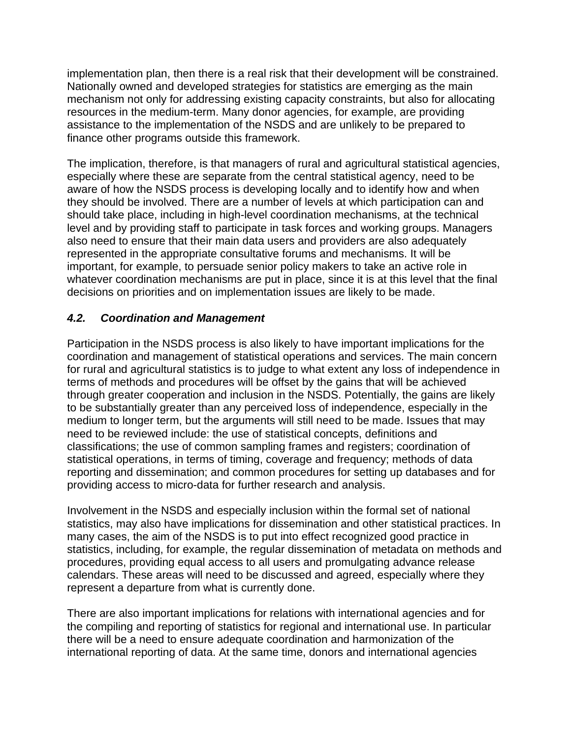implementation plan, then there is a real risk that their development will be constrained. Nationally owned and developed strategies for statistics are emerging as the main mechanism not only for addressing existing capacity constraints, but also for allocating resources in the medium-term. Many donor agencies, for example, are providing assistance to the implementation of the NSDS and are unlikely to be prepared to finance other programs outside this framework.

The implication, therefore, is that managers of rural and agricultural statistical agencies, especially where these are separate from the central statistical agency, need to be aware of how the NSDS process is developing locally and to identify how and when they should be involved. There are a number of levels at which participation can and should take place, including in high-level coordination mechanisms, at the technical level and by providing staff to participate in task forces and working groups. Managers also need to ensure that their main data users and providers are also adequately represented in the appropriate consultative forums and mechanisms. It will be important, for example, to persuade senior policy makers to take an active role in whatever coordination mechanisms are put in place, since it is at this level that the final decisions on priorities and on implementation issues are likely to be made.

## *4.2. Coordination and Management*

Participation in the NSDS process is also likely to have important implications for the coordination and management of statistical operations and services. The main concern for rural and agricultural statistics is to judge to what extent any loss of independence in terms of methods and procedures will be offset by the gains that will be achieved through greater cooperation and inclusion in the NSDS. Potentially, the gains are likely to be substantially greater than any perceived loss of independence, especially in the medium to longer term, but the arguments will still need to be made. Issues that may need to be reviewed include: the use of statistical concepts, definitions and classifications; the use of common sampling frames and registers; coordination of statistical operations, in terms of timing, coverage and frequency; methods of data reporting and dissemination; and common procedures for setting up databases and for providing access to micro-data for further research and analysis.

Involvement in the NSDS and especially inclusion within the formal set of national statistics, may also have implications for dissemination and other statistical practices. In many cases, the aim of the NSDS is to put into effect recognized good practice in statistics, including, for example, the regular dissemination of metadata on methods and procedures, providing equal access to all users and promulgating advance release calendars. These areas will need to be discussed and agreed, especially where they represent a departure from what is currently done.

There are also important implications for relations with international agencies and for the compiling and reporting of statistics for regional and international use. In particular there will be a need to ensure adequate coordination and harmonization of the international reporting of data. At the same time, donors and international agencies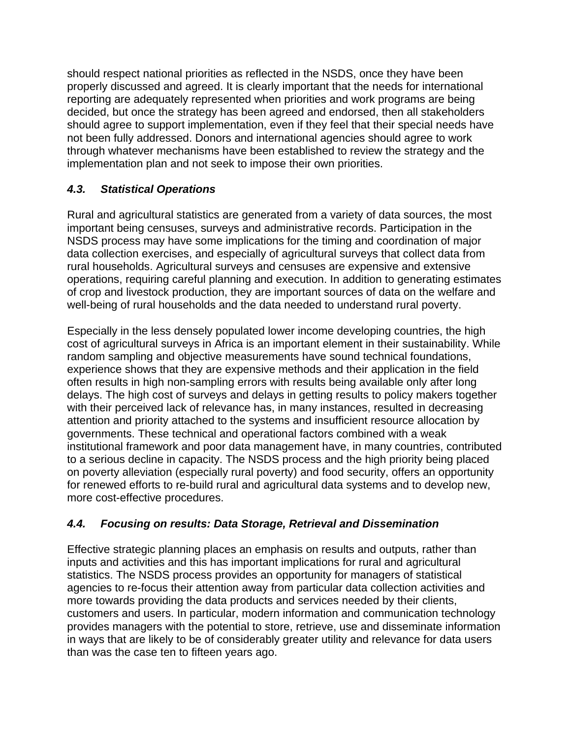should respect national priorities as reflected in the NSDS, once they have been properly discussed and agreed. It is clearly important that the needs for international reporting are adequately represented when priorities and work programs are being decided, but once the strategy has been agreed and endorsed, then all stakeholders should agree to support implementation, even if they feel that their special needs have not been fully addressed. Donors and international agencies should agree to work through whatever mechanisms have been established to review the strategy and the implementation plan and not seek to impose their own priorities.

## *4.3. Statistical Operations*

Rural and agricultural statistics are generated from a variety of data sources, the most important being censuses, surveys and administrative records. Participation in the NSDS process may have some implications for the timing and coordination of major data collection exercises, and especially of agricultural surveys that collect data from rural households. Agricultural surveys and censuses are expensive and extensive operations, requiring careful planning and execution. In addition to generating estimates of crop and livestock production, they are important sources of data on the welfare and well-being of rural households and the data needed to understand rural poverty.

Especially in the less densely populated lower income developing countries, the high cost of agricultural surveys in Africa is an important element in their sustainability. While random sampling and objective measurements have sound technical foundations, experience shows that they are expensive methods and their application in the field often results in high non-sampling errors with results being available only after long delays. The high cost of surveys and delays in getting results to policy makers together with their perceived lack of relevance has, in many instances, resulted in decreasing attention and priority attached to the systems and insufficient resource allocation by governments. These technical and operational factors combined with a weak institutional framework and poor data management have, in many countries, contributed to a serious decline in capacity. The NSDS process and the high priority being placed on poverty alleviation (especially rural poverty) and food security, offers an opportunity for renewed efforts to re-build rural and agricultural data systems and to develop new, more cost-effective procedures.

## *4.4. Focusing on results: Data Storage, Retrieval and Dissemination*

Effective strategic planning places an emphasis on results and outputs, rather than inputs and activities and this has important implications for rural and agricultural statistics. The NSDS process provides an opportunity for managers of statistical agencies to re-focus their attention away from particular data collection activities and more towards providing the data products and services needed by their clients, customers and users. In particular, modern information and communication technology provides managers with the potential to store, retrieve, use and disseminate information in ways that are likely to be of considerably greater utility and relevance for data users than was the case ten to fifteen years ago.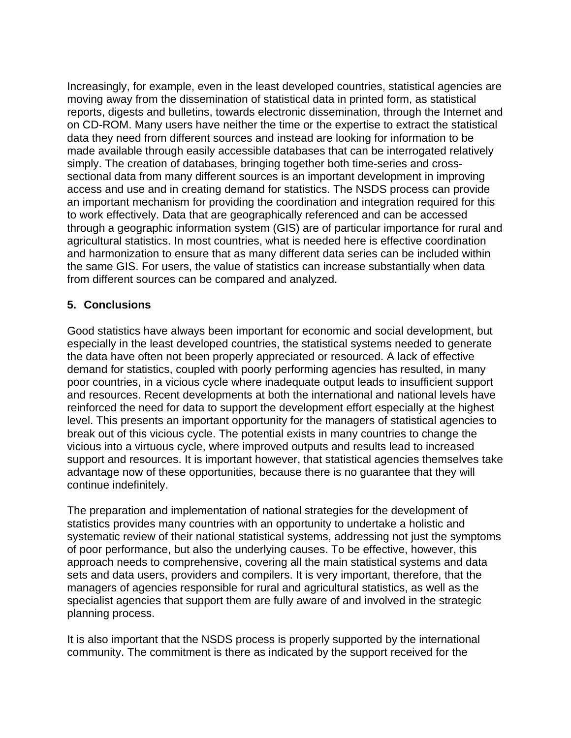Increasingly, for example, even in the least developed countries, statistical agencies are moving away from the dissemination of statistical data in printed form, as statistical reports, digests and bulletins, towards electronic dissemination, through the Internet and on CD-ROM. Many users have neither the time or the expertise to extract the statistical data they need from different sources and instead are looking for information to be made available through easily accessible databases that can be interrogated relatively simply. The creation of databases, bringing together both time-series and crosssectional data from many different sources is an important development in improving access and use and in creating demand for statistics. The NSDS process can provide an important mechanism for providing the coordination and integration required for this to work effectively. Data that are geographically referenced and can be accessed through a geographic information system (GIS) are of particular importance for rural and agricultural statistics. In most countries, what is needed here is effective coordination and harmonization to ensure that as many different data series can be included within the same GIS. For users, the value of statistics can increase substantially when data from different sources can be compared and analyzed.

## **5. Conclusions**

Good statistics have always been important for economic and social development, but especially in the least developed countries, the statistical systems needed to generate the data have often not been properly appreciated or resourced. A lack of effective demand for statistics, coupled with poorly performing agencies has resulted, in many poor countries, in a vicious cycle where inadequate output leads to insufficient support and resources. Recent developments at both the international and national levels have reinforced the need for data to support the development effort especially at the highest level. This presents an important opportunity for the managers of statistical agencies to break out of this vicious cycle. The potential exists in many countries to change the vicious into a virtuous cycle, where improved outputs and results lead to increased support and resources. It is important however, that statistical agencies themselves take advantage now of these opportunities, because there is no guarantee that they will continue indefinitely.

The preparation and implementation of national strategies for the development of statistics provides many countries with an opportunity to undertake a holistic and systematic review of their national statistical systems, addressing not just the symptoms of poor performance, but also the underlying causes. To be effective, however, this approach needs to comprehensive, covering all the main statistical systems and data sets and data users, providers and compilers. It is very important, therefore, that the managers of agencies responsible for rural and agricultural statistics, as well as the specialist agencies that support them are fully aware of and involved in the strategic planning process.

It is also important that the NSDS process is properly supported by the international community. The commitment is there as indicated by the support received for the